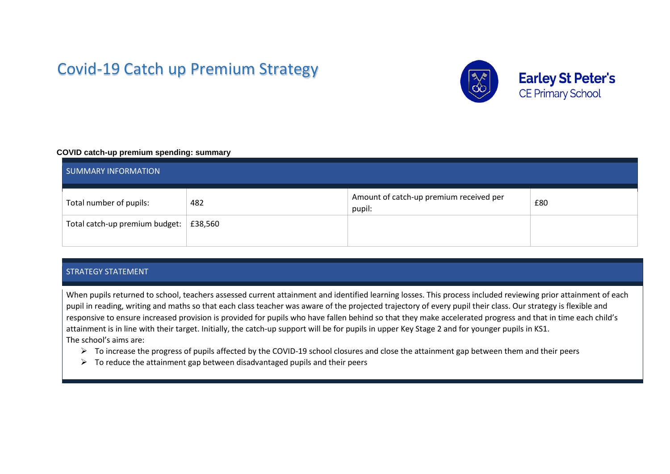# Covid-19 Catch up Premium Strategy



#### **COVID catch-up premium spending: summary**

| . .<br><b>SUMMARY INFORMATION</b> |         |                                                   |     |  |  |  |
|-----------------------------------|---------|---------------------------------------------------|-----|--|--|--|
| Total number of pupils:           | 482     | Amount of catch-up premium received per<br>pupil: | £80 |  |  |  |
| Total catch-up premium budget:    | £38,560 |                                                   |     |  |  |  |

#### STRATEGY STATEMENT

When pupils returned to school, teachers assessed current attainment and identified learning losses. This process included reviewing prior attainment of each pupil in reading, writing and maths so that each class teacher was aware of the projected trajectory of every pupil their class. Our strategy is flexible and responsive to ensure increased provision is provided for pupils who have fallen behind so that they make accelerated progress and that in time each child's attainment is in line with their target. Initially, the catch-up support will be for pupils in upper Key Stage 2 and for younger pupils in KS1. The school's aims are:

- ➢ To increase the progress of pupils affected by the COVID-19 school closures and close the attainment gap between them and their peers
- $\triangleright$  To reduce the attainment gap between disadvantaged pupils and their peers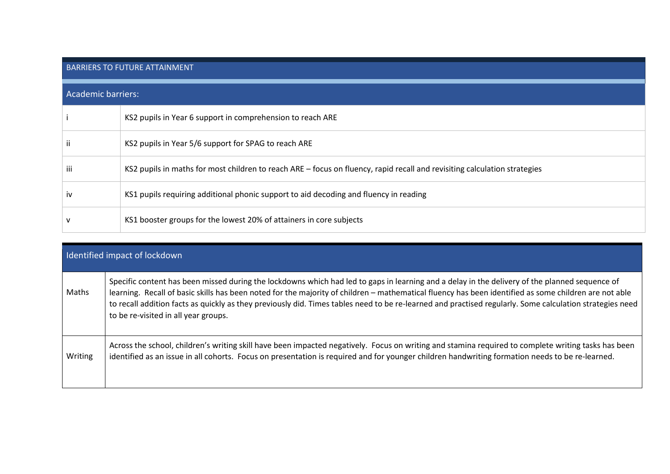## BARRIERS TO FUTURE ATTAINMENT

| Academic barriers: |                                                                                                                           |  |  |
|--------------------|---------------------------------------------------------------------------------------------------------------------------|--|--|
|                    | KS2 pupils in Year 6 support in comprehension to reach ARE                                                                |  |  |
|                    | KS2 pupils in Year 5/6 support for SPAG to reach ARE                                                                      |  |  |
| iii                | KS2 pupils in maths for most children to reach ARE – focus on fluency, rapid recall and revisiting calculation strategies |  |  |
| IV                 | KS1 pupils requiring additional phonic support to aid decoding and fluency in reading                                     |  |  |
|                    | KS1 booster groups for the lowest 20% of attainers in core subjects                                                       |  |  |

|         | I dentified impact of lockdown                                                                                                                                                                                                                                                                                                                                                                                                                                                                              |
|---------|-------------------------------------------------------------------------------------------------------------------------------------------------------------------------------------------------------------------------------------------------------------------------------------------------------------------------------------------------------------------------------------------------------------------------------------------------------------------------------------------------------------|
| Maths   | Specific content has been missed during the lockdowns which had led to gaps in learning and a delay in the delivery of the planned sequence of<br>learning. Recall of basic skills has been noted for the majority of children – mathematical fluency has been identified as some children are not able<br>to recall addition facts as quickly as they previously did. Times tables need to be re-learned and practised regularly. Some calculation strategies need<br>to be re-visited in all year groups. |
| Writing | Across the school, children's writing skill have been impacted negatively. Focus on writing and stamina required to complete writing tasks has been<br>identified as an issue in all cohorts. Focus on presentation is required and for younger children handwriting formation needs to be re-learned.                                                                                                                                                                                                      |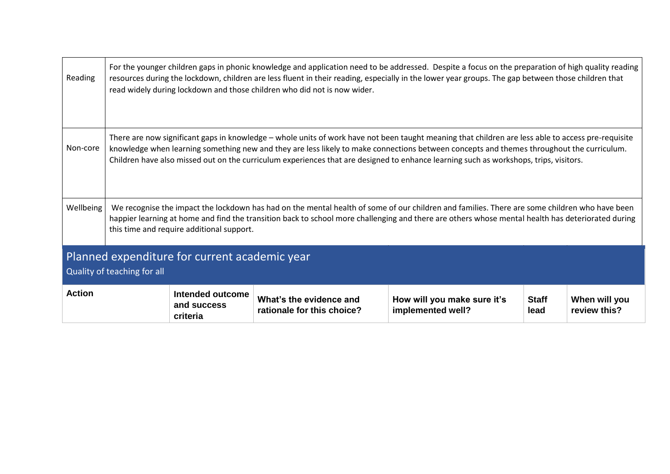| Reading                                                                      | For the younger children gaps in phonic knowledge and application need to be addressed. Despite a focus on the preparation of high quality reading<br>resources during the lockdown, children are less fluent in their reading, especially in the lower year groups. The gap between those children that<br>read widely during lockdown and those children who did not is now wider.                                                     |                                             |                                                       |                                                  |                      |                               |  |  |
|------------------------------------------------------------------------------|------------------------------------------------------------------------------------------------------------------------------------------------------------------------------------------------------------------------------------------------------------------------------------------------------------------------------------------------------------------------------------------------------------------------------------------|---------------------------------------------|-------------------------------------------------------|--------------------------------------------------|----------------------|-------------------------------|--|--|
| Non-core                                                                     | There are now significant gaps in knowledge - whole units of work have not been taught meaning that children are less able to access pre-requisite<br>knowledge when learning something new and they are less likely to make connections between concepts and themes throughout the curriculum.<br>Children have also missed out on the curriculum experiences that are designed to enhance learning such as workshops, trips, visitors. |                                             |                                                       |                                                  |                      |                               |  |  |
| <b>Wellbeing</b>                                                             | We recognise the impact the lockdown has had on the mental health of some of our children and families. There are some children who have been<br>happier learning at home and find the transition back to school more challenging and there are others whose mental health has deteriorated during<br>this time and require additional support.                                                                                          |                                             |                                                       |                                                  |                      |                               |  |  |
| Planned expenditure for current academic year<br>Quality of teaching for all |                                                                                                                                                                                                                                                                                                                                                                                                                                          |                                             |                                                       |                                                  |                      |                               |  |  |
| <b>Action</b>                                                                |                                                                                                                                                                                                                                                                                                                                                                                                                                          | Intended outcome<br>and success<br>criteria | What's the evidence and<br>rationale for this choice? | How will you make sure it's<br>implemented well? | <b>Staff</b><br>lead | When will you<br>review this? |  |  |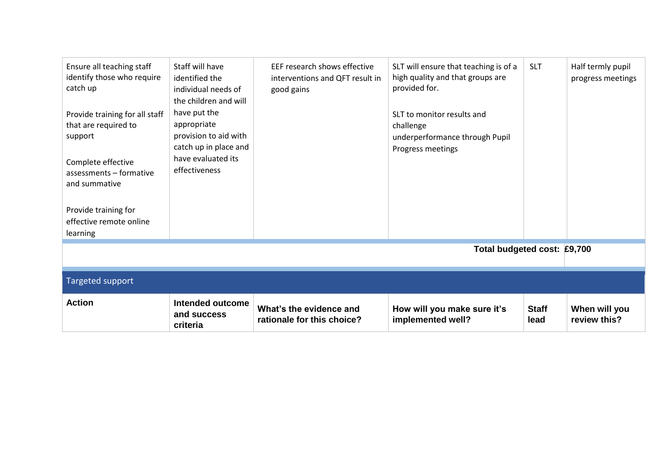| Ensure all teaching staff<br>identify those who require<br>catch up<br>Provide training for all staff<br>that are required to<br>support<br>Complete effective<br>assessments - formative<br>and summative<br>Provide training for<br>effective remote online<br>learning | Staff will have<br>identified the<br>individual needs of<br>the children and will<br>have put the<br>appropriate<br>provision to aid with<br>catch up in place and<br>have evaluated its<br>effectiveness | EEF research shows effective<br>interventions and QFT result in<br>good gains | SLT will ensure that teaching is of a<br>high quality and that groups are<br>provided for.<br>SLT to monitor results and<br>challenge<br>underperformance through Pupil<br>Progress meetings | <b>SLT</b>           | Half termly pupil<br>progress meetings |  |
|---------------------------------------------------------------------------------------------------------------------------------------------------------------------------------------------------------------------------------------------------------------------------|-----------------------------------------------------------------------------------------------------------------------------------------------------------------------------------------------------------|-------------------------------------------------------------------------------|----------------------------------------------------------------------------------------------------------------------------------------------------------------------------------------------|----------------------|----------------------------------------|--|
| Total budgeted cost: £9,700                                                                                                                                                                                                                                               |                                                                                                                                                                                                           |                                                                               |                                                                                                                                                                                              |                      |                                        |  |
| Targeted support                                                                                                                                                                                                                                                          |                                                                                                                                                                                                           |                                                                               |                                                                                                                                                                                              |                      |                                        |  |
| <b>Action</b>                                                                                                                                                                                                                                                             | <b>Intended outcome</b><br>and success<br>criteria                                                                                                                                                        | What's the evidence and<br>rationale for this choice?                         | How will you make sure it's<br>implemented well?                                                                                                                                             | <b>Staff</b><br>lead | When will you<br>review this?          |  |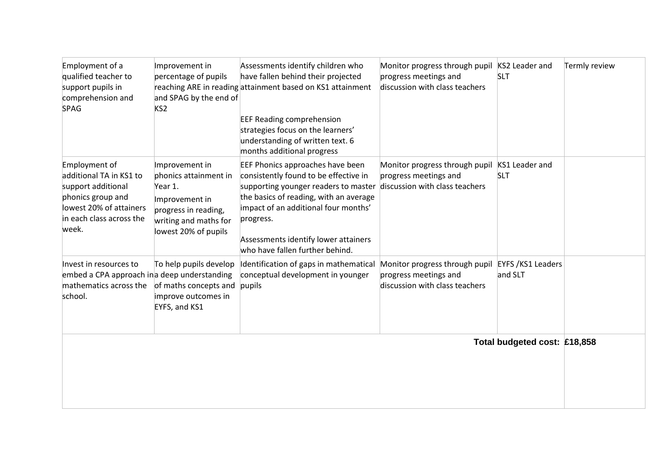| Employment of a<br>qualified teacher to<br>support pupils in<br>comprehension and<br><b>SPAG</b>                                                    | Improvement in<br>percentage of pupils<br>and SPAG by the end of<br>KS <sub>2</sub>                                                           | Assessments identify children who<br>have fallen behind their projected<br>reaching ARE in reading attainment based on KS1 attainment<br><b>EEF Reading comprehension</b><br>strategies focus on the learners'<br>understanding of written text. 6<br>months additional progress            | Monitor progress through pupil<br>progress meetings and<br>discussion with class teachers                | KS2 Leader and<br><b>SLT</b>        | Termly review |
|-----------------------------------------------------------------------------------------------------------------------------------------------------|-----------------------------------------------------------------------------------------------------------------------------------------------|---------------------------------------------------------------------------------------------------------------------------------------------------------------------------------------------------------------------------------------------------------------------------------------------|----------------------------------------------------------------------------------------------------------|-------------------------------------|---------------|
| Employment of<br>additional TA in KS1 to<br>support additional<br>phonics group and<br>lowest 20% of attainers<br>in each class across the<br>week. | Improvement in<br>phonics attainment in<br>Year 1.<br>Improvement in<br>progress in reading,<br>writing and maths for<br>lowest 20% of pupils | EEF Phonics approaches have been<br>consistently found to be effective in<br>supporting younger readers to master<br>the basics of reading, with an average<br>impact of an additional four months'<br>progress.<br>Assessments identify lower attainers<br>who have fallen further behind. | Monitor progress through pupil KS1 Leader and<br>progress meetings and<br>discussion with class teachers | <b>SLT</b>                          |               |
| Invest in resources to<br>embed a CPA approach in a deep understanding<br>mathematics across the<br>school.                                         | To help pupils develop<br>of maths concepts and pupils<br>improve outcomes in<br>EYFS, and KS1                                                | Identification of gaps in mathematical<br>conceptual development in younger                                                                                                                                                                                                                 | Monitor progress through pupil<br>progress meetings and<br>discussion with class teachers                | <b>EYFS /KS1 Leaders</b><br>and SLT |               |
|                                                                                                                                                     |                                                                                                                                               |                                                                                                                                                                                                                                                                                             |                                                                                                          | Total budgeted cost: £18,858        |               |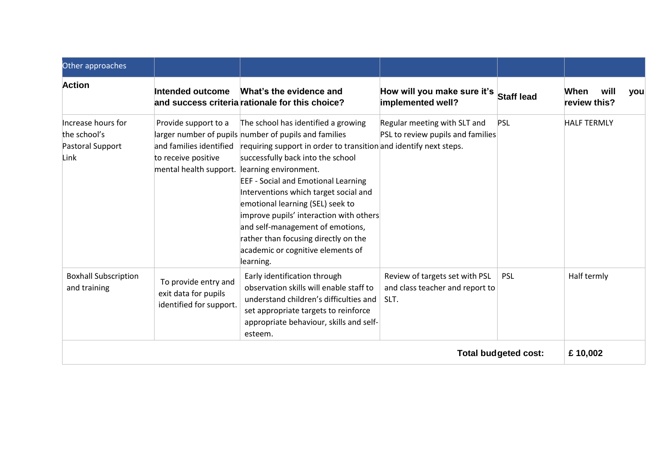| Other approaches                                               |                                                                                                  |                                                                                                                                                                                                                                                                                                                                                                                                                                                                                                                                     |                                                                           |                   |                                     |
|----------------------------------------------------------------|--------------------------------------------------------------------------------------------------|-------------------------------------------------------------------------------------------------------------------------------------------------------------------------------------------------------------------------------------------------------------------------------------------------------------------------------------------------------------------------------------------------------------------------------------------------------------------------------------------------------------------------------------|---------------------------------------------------------------------------|-------------------|-------------------------------------|
| <b>Action</b>                                                  | Intended outcome                                                                                 | What's the evidence and<br>and success criteria rationale for this choice?                                                                                                                                                                                                                                                                                                                                                                                                                                                          | How will you make sure it's<br>implemented well?                          | <b>Staff lead</b> | When<br>will<br>you<br>review this? |
| Increase hours for<br>the school's<br>Pastoral Support<br>Link | Provide support to a<br>and families identified<br>to receive positive<br>mental health support. | The school has identified a growing<br>larger number of pupils number of pupils and families<br>requiring support in order to transition and identify next steps.<br>successfully back into the school<br>learning environment.<br><b>EEF - Social and Emotional Learning</b><br>Interventions which target social and<br>emotional learning (SEL) seek to<br>improve pupils' interaction with others<br>and self-management of emotions,<br>rather than focusing directly on the<br>academic or cognitive elements of<br>learning. | Regular meeting with SLT and<br>PSL to review pupils and families         | <b>PSL</b>        | <b>HALF TERMLY</b>                  |
| <b>Boxhall Subscription</b><br>and training                    | To provide entry and<br>exit data for pupils<br>identified for support.                          | Early identification through<br>observation skills will enable staff to<br>understand children's difficulties and<br>set appropriate targets to reinforce<br>appropriate behaviour, skills and self-<br>esteem.                                                                                                                                                                                                                                                                                                                     | Review of targets set with PSL<br>and class teacher and report to<br>SLT. | <b>PSL</b>        | Half termly                         |
| <b>Total budgeted cost:</b>                                    |                                                                                                  |                                                                                                                                                                                                                                                                                                                                                                                                                                                                                                                                     |                                                                           |                   | £10,002                             |